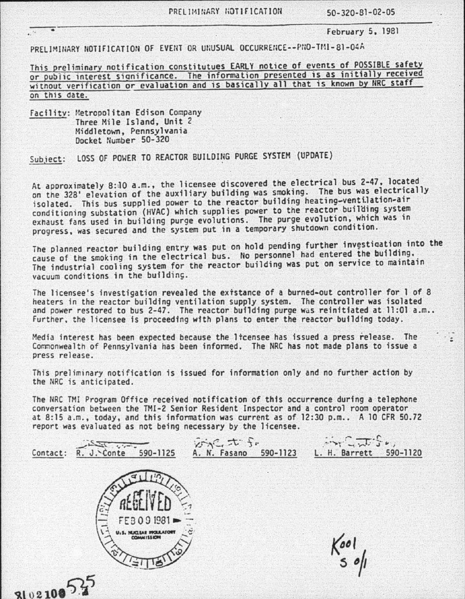PRELIMINARY NOTIFICATION 50-320-81-02-05

----------.--------------------------------------------------------------------------------- February 5, 1981

. :

PRELIMINARY NOTIFICATION OF EVENT OR UNUSUAL OCCURRENCE--PNO-TMI-81-04A

This preliminary notification constitutues EARLY notice of events of POSSIBLE safety or public interest significance. The information presented is as initially received without verification or evaluation and is basically all that is known by NRC staff on this date.

Facility: Metropolitan Edison Company<br>Three Mile Island, Unit 2<br>Middletown, Pennsylvania Docket Number 50-320

 $3102100$   $^{3}$ .

Subiect: LOSS OF POWER TO REACTOR BUILDING PURGE SYSTEM (UPDATE)

At approximately 8:10 a.m., the licensee discovered the electrical bus 2-47, located<br>on the 328' elevation of the auxiliary building was smoking. The bus was electrically isolated. This bus supplied power to the reactor building heating-ventilation-air conditioning substation (HVAC) which supplies power to the reactor building system exhaust fans used in building purge evolutions. The purge evolution, which was in progress. was secured and the system put in a temporary shutdown condition.

The planned reactor building entry was put on hold pending further investigation into the cause of the smoking in the electrical bus. No personnel had entered the building. The industrial cooling system for the reactor building was put on service to maintain vacuum conditions in the building.

The licensee's investigation revealed the extstance of a burned-out controller for 1 of 8 heaters in the reactor building ventilation supply system. The controller was isolated and power restored to bus  $2-47$ . The reactor building purge was reinitiated at 11:01 a.m.. Further. the licensee is proceeding w1th plans to enter the reactor building today.

Media interest has been expected because the ltcensee has issued a press release. The Commonwealth of Pennsylvania has been informed. The NRC has not made plans to issue a press release.

This preliminary notification is issued for information only and no further action by the NRC is anticipated.

The NRC TMI Program Office received notification of this occurrence during a telephone conversation between the TMI·2 Senior Resident Inspector and a control room operator at 8:15 a.m., today, and this information was current as of 12:30 p.m.. A 10 CFR 50.72 report was evaluated as not being necessary by the licensee.

| $a^{\dagger}$<br>Contact:<br>590-1125<br>J. Conte<br>R. | かだます。<br>A. N. Fasano<br>590-1123 | $-12.5$<br>590-1120<br>L. H. Barrett |
|---------------------------------------------------------|-----------------------------------|--------------------------------------|
|                                                         |                                   |                                      |
| FEB091981<br>$\overline{\phantom{a}}$                   | $\mathbb{Z}$                      |                                      |
| <b>U.S. NUCLEAR INGLEATORY</b>                          |                                   | $\delta$                             |
|                                                         |                                   |                                      |